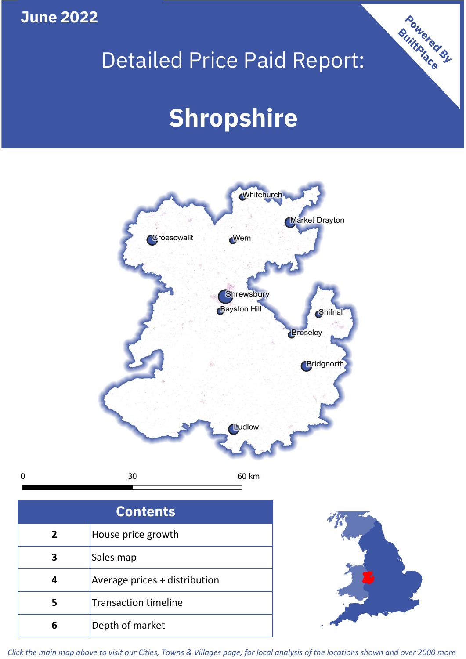**June 2022**

# Detailed Price Paid Report:

Powered By

# **Shropshire**





*Click the main map above to visit our Cities, Towns & Villages page, for local analysis of the locations shown and over 2000 more*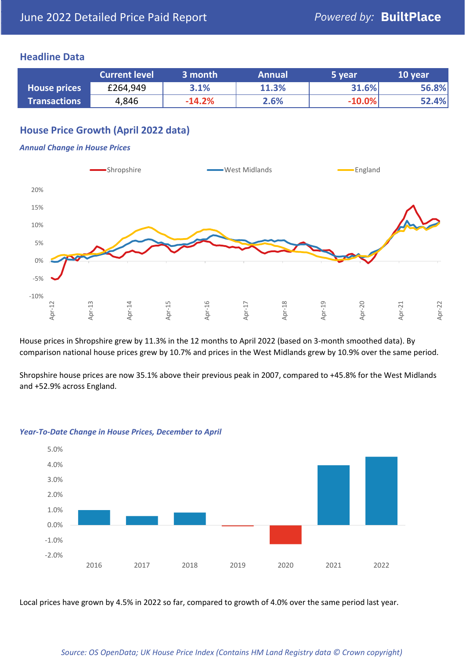### **Headline Data**

|                     | <b>Current level</b> | 3 month  | <b>Annual</b> | 5 year   | 10 year |
|---------------------|----------------------|----------|---------------|----------|---------|
| <b>House prices</b> | £264,949             | 3.1%     | 11.3%         | 31.6%    | 56.8%   |
| <b>Transactions</b> | 4,846                | $-14.2%$ | 2.6%          | $-10.0%$ | 52.4%   |

# **House Price Growth (April 2022 data)**

#### *Annual Change in House Prices*



House prices in Shropshire grew by 11.3% in the 12 months to April 2022 (based on 3-month smoothed data). By comparison national house prices grew by 10.7% and prices in the West Midlands grew by 10.9% over the same period.

Shropshire house prices are now 35.1% above their previous peak in 2007, compared to +45.8% for the West Midlands and +52.9% across England.



#### *Year-To-Date Change in House Prices, December to April*

Local prices have grown by 4.5% in 2022 so far, compared to growth of 4.0% over the same period last year.

#### *Source: OS OpenData; UK House Price Index (Contains HM Land Registry data © Crown copyright)*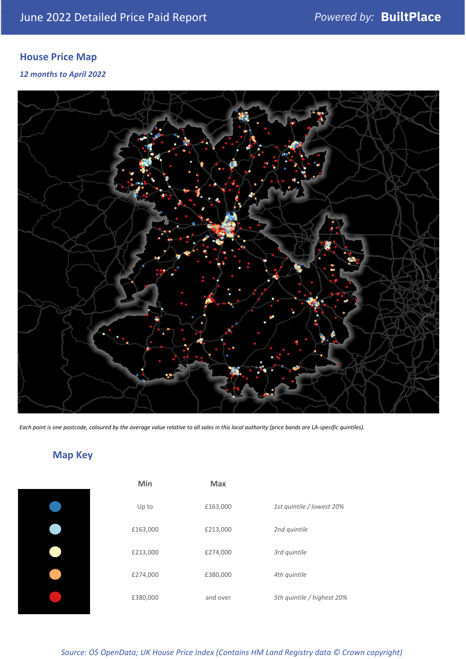# **House Price Map**

*12 months to April 2022*



*Each point is one postcode, coloured by the average value relative to all sales in this local authority (price bands are LA-specific quintiles).*

# **Map Key**

| Min      | <b>Max</b> |                            |
|----------|------------|----------------------------|
| Up to    | £163,000   | 1st quintile / lowest 20%  |
| £163,000 | £213,000   | 2nd quintile               |
| £213,000 | £274,000   | 3rd quintile               |
| £274,000 | £380,000   | 4th quintile               |
| £380,000 | and over   | 5th quintile / highest 20% |

*Source: OS OpenData; UK House Price Index (Contains HM Land Registry data © Crown copyright)*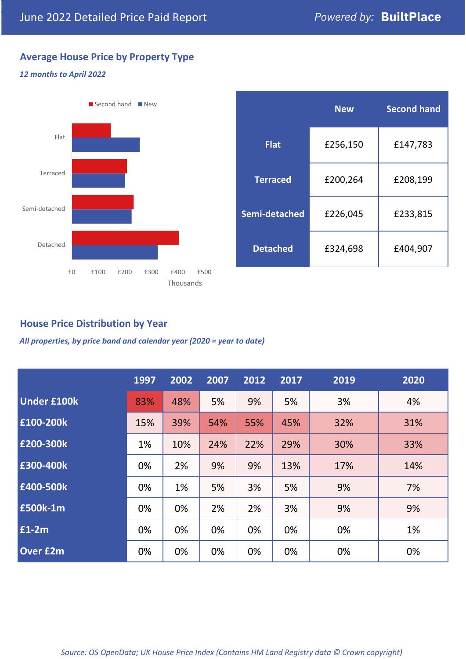# **Average House Price by Property Type**

#### *12 months to April 2022*



|                 | <b>New</b> | <b>Second hand</b> |  |  |
|-----------------|------------|--------------------|--|--|
| <b>Flat</b>     | £256,150   | £147,783           |  |  |
| <b>Terraced</b> | £200,264   | £208,199           |  |  |
| Semi-detached   | £226,045   | £233,815           |  |  |
| <b>Detached</b> | £324,698   | £404,907           |  |  |

## **House Price Distribution by Year**

*All properties, by price band and calendar year (2020 = year to date)*

|                    | 1997 | 2002 | 2007 | 2012 | 2017 | 2019 | 2020 |
|--------------------|------|------|------|------|------|------|------|
| <b>Under £100k</b> | 83%  | 48%  | 5%   | 9%   | 5%   | 3%   | 4%   |
| £100-200k          | 15%  | 39%  | 54%  | 55%  | 45%  | 32%  | 31%  |
| E200-300k          | 1%   | 10%  | 24%  | 22%  | 29%  | 30%  | 33%  |
| £300-400k          | 0%   | 2%   | 9%   | 9%   | 13%  | 17%  | 14%  |
| £400-500k          | 0%   | 1%   | 5%   | 3%   | 5%   | 9%   | 7%   |
| £500k-1m           | 0%   | 0%   | 2%   | 2%   | 3%   | 9%   | 9%   |
| £1-2m              | 0%   | 0%   | 0%   | 0%   | 0%   | 0%   | 1%   |
| <b>Over £2m</b>    | 0%   | 0%   | 0%   | 0%   | 0%   | 0%   | 0%   |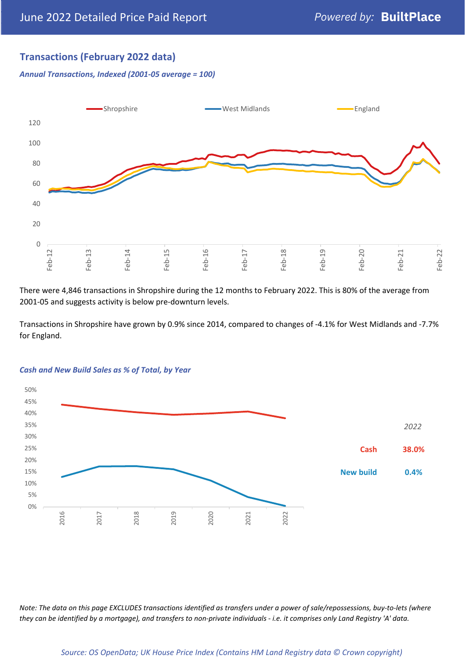# **Transactions (February 2022 data)**

*Annual Transactions, Indexed (2001-05 average = 100)*



There were 4,846 transactions in Shropshire during the 12 months to February 2022. This is 80% of the average from 2001-05 and suggests activity is below pre-downturn levels.

Transactions in Shropshire have grown by 0.9% since 2014, compared to changes of -4.1% for West Midlands and -7.7% for England.



#### *Cash and New Build Sales as % of Total, by Year*

*Note: The data on this page EXCLUDES transactions identified as transfers under a power of sale/repossessions, buy-to-lets (where they can be identified by a mortgage), and transfers to non-private individuals - i.e. it comprises only Land Registry 'A' data.*